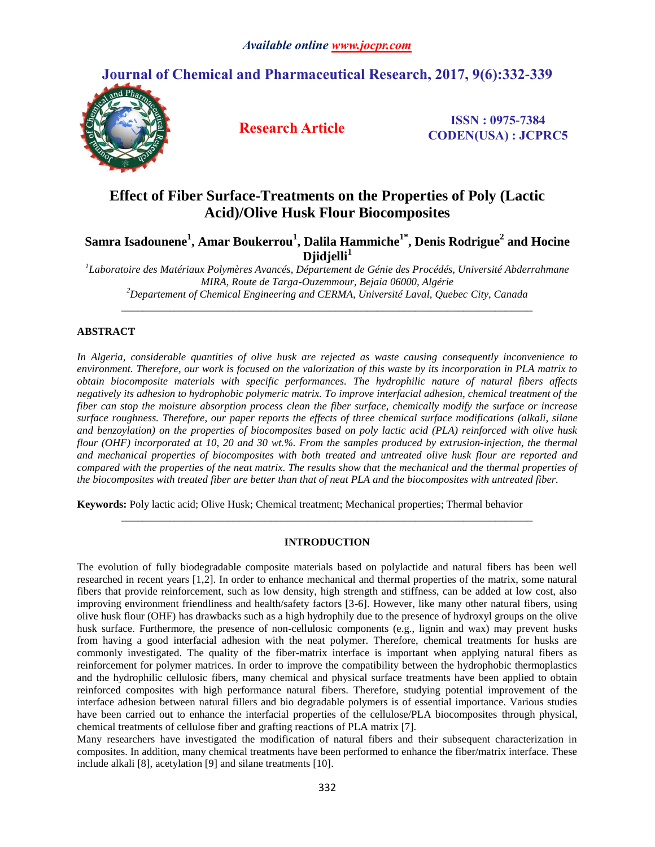# **Journal of Chemical and Pharmaceutical Research, 2017, 9(6):332-339**



**Research Article ISSN : 0975-7384 CODEN(USA) : JCPRC5**

# **Effect of Fiber Surface-Treatments on the Properties of Poly (Lactic Acid)/Olive Husk Flour Biocomposites**

**Samra Isadounene<sup>1</sup> , Amar Boukerrou<sup>1</sup> , Dalila Hammiche1\*, Denis Rodrigue<sup>2</sup> and Hocine Djidjelli<sup>1</sup>**

*1 Laboratoire des Matériaux Polymères Avancés, Département de Génie des Procédés, Université Abderrahmane MIRA, Route de Targa-Ouzemmour, Bejaia 06000, Algérie <sup>2</sup>Departement of Chemical Engineering and CERMA, Université Laval, Quebec City, Canada*

*\_\_\_\_\_\_\_\_\_\_\_\_\_\_\_\_\_\_\_\_\_\_\_\_\_\_\_\_\_\_\_\_\_\_\_\_\_\_\_\_\_\_\_\_\_\_\_\_\_\_\_\_\_\_\_\_\_\_\_\_\_\_\_\_\_\_\_\_\_\_\_\_\_\_\_\_\_*

# **ABSTRACT**

*In Algeria, considerable quantities of olive husk are rejected as waste causing consequently inconvenience to environment. Therefore, our work is focused on the valorization of this waste by its incorporation in PLA matrix to obtain biocomposite materials with specific performances. The hydrophilic nature of natural fibers affects negatively its adhesion to hydrophobic polymeric matrix. To improve interfacial adhesion, chemical treatment of the fiber can stop the moisture absorption process clean the fiber surface, chemically modify the surface or increase surface roughness. Therefore, our paper reports the effects of three chemical surface modifications (alkali, silane and benzoylation) on the properties of biocomposites based on poly lactic acid (PLA) reinforced with olive husk flour (OHF) incorporated at 10, 20 and 30 wt.%. From the samples produced by extrusion-injection, the thermal and mechanical properties of biocomposites with both treated and untreated olive husk flour are reported and compared with the properties of the neat matrix. The results show that the mechanical and the thermal properties of the biocomposites with treated fiber are better than that of neat PLA and the biocomposites with untreated fiber.*

**Keywords:** Poly lactic acid; Olive Husk; Chemical treatment; Mechanical properties; Thermal behavior

# **INTRODUCTION**

*\_\_\_\_\_\_\_\_\_\_\_\_\_\_\_\_\_\_\_\_\_\_\_\_\_\_\_\_\_\_\_\_\_\_\_\_\_\_\_\_\_\_\_\_\_\_\_\_\_\_\_\_\_\_\_\_\_\_\_\_\_\_\_\_\_\_\_\_\_\_\_\_\_\_\_\_\_*

The evolution of fully biodegradable composite materials based on polylactide and natural fibers has been well researched in recent years [1,2]. In order to enhance mechanical and thermal properties of the matrix, some natural fibers that provide reinforcement, such as low density, high strength and stiffness, can be added at low cost, also improving environment friendliness and health/safety factors [3-6]. However, like many other natural fibers, using olive husk flour (OHF) has drawbacks such as a high hydrophily due to the presence of hydroxyl groups on the olive husk surface. Furthermore, the presence of non-cellulosic components (e.g., lignin and wax) may prevent husks from having a good interfacial adhesion with the neat polymer. Therefore, chemical treatments for husks are commonly investigated. The quality of the fiber-matrix interface is important when applying natural fibers as reinforcement for polymer matrices. In order to improve the compatibility between the hydrophobic thermoplastics and the hydrophilic cellulosic fibers, many chemical and physical surface treatments have been applied to obtain reinforced composites with high performance natural fibers. Therefore, studying potential improvement of the interface adhesion between natural fillers and bio degradable polymers is of essential importance. Various studies have been carried out to enhance the interfacial properties of the cellulose/PLA biocomposites through physical, chemical treatments of cellulose fiber and grafting reactions of PLA matrix [7].

Many researchers have investigated the modification of natural fibers and their subsequent characterization in composites. In addition, many chemical treatments have been performed to enhance the fiber/matrix interface. These include alkali [8], acetylation [9] and silane treatments [10].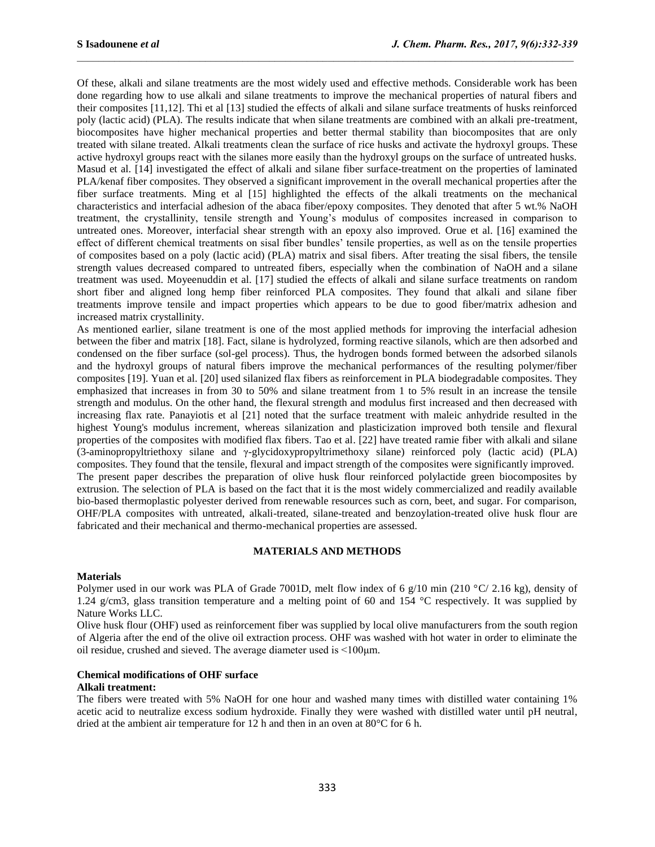Of these, alkali and silane treatments are the most widely used and effective methods. Considerable work has been done regarding how to use alkali and silane treatments to improve the mechanical properties of natural fibers and their composites [11,12]. Thi et al [13] studied the effects of alkali and silane surface treatments of husks reinforced poly (lactic acid) (PLA). The results indicate that when silane treatments are combined with an alkali pre-treatment, biocomposites have higher mechanical properties and better thermal stability than biocomposites that are only treated with silane treated. Alkali treatments clean the surface of rice husks and activate the hydroxyl groups. These active hydroxyl groups react with the silanes more easily than the hydroxyl groups on the surface of untreated husks. Masud et al. [14] investigated the effect of alkali and silane fiber surface-treatment on the properties of laminated PLA/kenaf fiber composites. They observed a significant improvement in the overall mechanical properties after the fiber surface treatments. Ming et al [15] highlighted the effects of the alkali treatments on the mechanical characteristics and interfacial adhesion of the abaca fiber/epoxy composites. They denoted that after 5 wt.% NaOH treatment, the crystallinity, tensile strength and Young's modulus of composites increased in comparison to untreated ones. Moreover, interfacial shear strength with an epoxy also improved. Orue et al. [16] examined the effect of different chemical treatments on sisal fiber bundles' tensile properties, as well as on the tensile properties of composites based on a poly (lactic acid) (PLA) matrix and sisal fibers. After treating the sisal fibers, the tensile strength values decreased compared to untreated fibers, especially when the combination of NaOH and a silane treatment was used. Moyeenuddin et al. [17] studied the effects of alkali and silane surface treatments on random short fiber and aligned long hemp fiber reinforced PLA composites. They found that alkali and silane fiber treatments improve tensile and impact properties which appears to be due to good fiber/matrix adhesion and increased matrix crystallinity.

As mentioned earlier, silane treatment is one of the most applied methods for improving the interfacial adhesion between the fiber and matrix [18]. Fact, silane is hydrolyzed, forming reactive silanols, which are then adsorbed and condensed on the fiber surface (sol-gel process). Thus, the hydrogen bonds formed between the adsorbed silanols and the hydroxyl groups of natural fibers improve the mechanical performances of the resulting polymer/fiber composites [19]. Yuan et al. [20] used silanized flax fibers as reinforcement in PLA biodegradable composites. They emphasized that increases in from 30 to 50% and silane treatment from 1 to 5% result in an increase the tensile strength and modulus. On the other hand, the flexural strength and modulus first increased and then decreased with increasing flax rate. Panayiotis et al [21] noted that the surface treatment with maleic anhydride resulted in the highest Young's modulus increment, whereas silanization and plasticization improved both tensile and flexural properties of the composites with modified flax fibers. Tao et al. [22] have treated ramie fiber with alkali and silane (3-aminopropyltriethoxy silane and γ-glycidoxypropyltrimethoxy silane) reinforced poly (lactic acid) (PLA) composites. They found that the tensile, flexural and impact strength of the composites were significantly improved. The present paper describes the preparation of olive husk flour reinforced polylactide green biocomposites by extrusion. The selection of PLA is based on the fact that it is the most widely commercialized and readily available bio-based thermoplastic polyester derived from renewable resources such as corn, beet, and sugar. For comparison, OHF/PLA composites with untreated, alkali-treated, silane-treated and benzoylation-treated olive husk flour are fabricated and their mechanical and thermo-mechanical properties are assessed.

# **MATERIALS AND METHODS**

# **Materials**

Polymer used in our work was PLA of Grade 7001D, melt flow index of 6 g/10 min (210 °C/ 2.16 kg), density of 1.24 g/cm3, glass transition temperature and a melting point of 60 and 154 °C respectively. It was supplied by Nature Works LLC.

Olive husk flour (OHF) used as reinforcement fiber was supplied by local olive manufacturers from the south region of Algeria after the end of the olive oil extraction process. OHF was washed with hot water in order to eliminate the oil residue, crushed and sieved. The average diameter used is ˂100μm.

#### **Chemical modifications of OHF surface**

## **Alkali treatment:**

The fibers were treated with 5% NaOH for one hour and washed many times with distilled water containing 1% acetic acid to neutralize excess sodium hydroxide. Finally they were washed with distilled water until pH neutral, dried at the ambient air temperature for 12 h and then in an oven at 80°C for 6 h.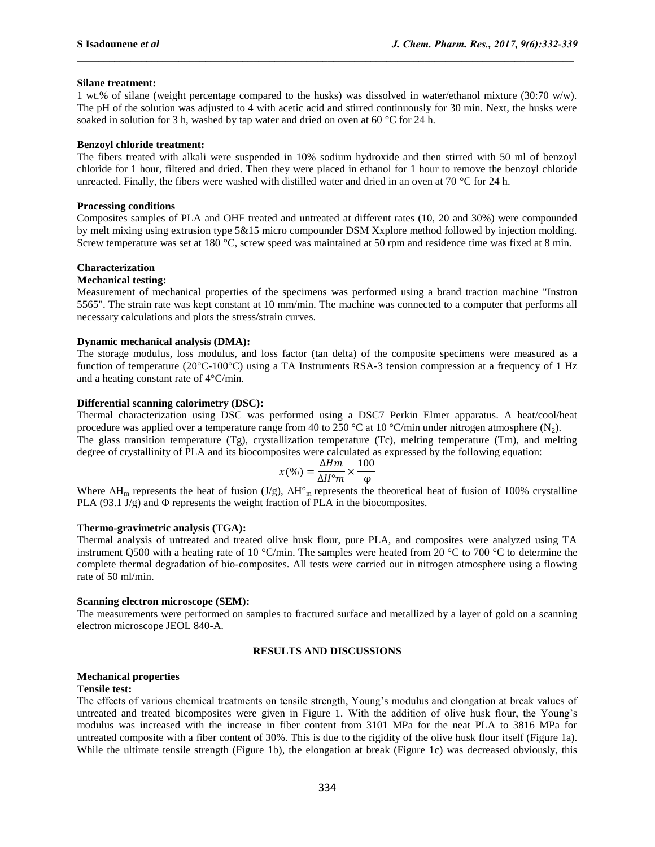## **Silane treatment:**

1 wt.% of silane (weight percentage compared to the husks) was dissolved in water/ethanol mixture (30:70 w/w). The pH of the solution was adjusted to 4 with acetic acid and stirred continuously for 30 min. Next, the husks were soaked in solution for 3 h, washed by tap water and dried on oven at 60 °C for 24 h.

## **Benzoyl chloride treatment:**

The fibers treated with alkali were suspended in 10% sodium hydroxide and then stirred with 50 ml of benzoyl chloride for 1 hour, filtered and dried. Then they were placed in ethanol for 1 hour to remove the benzoyl chloride unreacted. Finally, the fibers were washed with distilled water and dried in an oven at 70 °C for 24 h.

## **Processing conditions**

Composites samples of PLA and OHF treated and untreated at different rates (10, 20 and 30%) were compounded by melt mixing using extrusion type 5&15 micro compounder DSM Xxplore method followed by injection molding. Screw temperature was set at 180 °C, screw speed was maintained at 50 rpm and residence time was fixed at 8 min.

# **Characterization**

# **Mechanical testing:**

Measurement of mechanical properties of the specimens was performed using a brand traction machine "Instron 5565". The strain rate was kept constant at 10 mm/min. The machine was connected to a computer that performs all necessary calculations and plots the stress/strain curves.

#### **Dynamic mechanical analysis (DMA):**

The storage modulus, loss modulus, and loss factor (tan delta) of the composite specimens were measured as a function of temperature (20°C-100°C) using a TA Instruments RSA-3 tension compression at a frequency of 1 Hz and a heating constant rate of 4°C/min.

#### **Differential scanning calorimetry (DSC):**

Thermal characterization using DSC was performed using a DSC7 Perkin Elmer apparatus. A heat/cool/heat procedure was applied over a temperature range from 40 to 250 °C at 10 °C/min under nitrogen atmosphere (N<sub>2</sub>). The glass transition temperature (Tg), crystallization temperature (Tc), melting temperature (Tm), and melting degree of crystallinity of PLA and its biocomposites were calculated as expressed by the following equation:

$$
x(\%) = \frac{\Delta Hm}{\Delta H^{\circ}m} \times \frac{100}{\varphi}
$$

Where  $\Delta H_m$  represents the heat of fusion (J/g),  $\Delta H^{\circ}$  represents the theoretical heat of fusion of 100% crystalline PLA  $(93.1 \text{ J/g})$  and  $\Phi$  represents the weight fraction of PLA in the biocomposites.

#### **Thermo-gravimetric analysis (TGA):**

Thermal analysis of untreated and treated olive husk flour, pure PLA, and composites were analyzed using TA instrument Q500 with a heating rate of 10 °C/min. The samples were heated from 20 °C to 700 °C to determine the complete thermal degradation of bio-composites. All tests were carried out in nitrogen atmosphere using a flowing rate of 50 ml/min.

#### **Scanning electron microscope (SEM):**

The measurements were performed on samples to fractured surface and metallized by a layer of gold on a scanning electron microscope JEOL 840-A.

# **RESULTS AND DISCUSSIONS**

# **Mechanical properties**

#### **Tensile test:**

The effects of various chemical treatments on tensile strength, Young's modulus and elongation at break values of untreated and treated bicomposites were given in Figure 1. With the addition of olive husk flour, the Young's modulus was increased with the increase in fiber content from 3101 MPa for the neat PLA to 3816 MPa for untreated composite with a fiber content of 30%. This is due to the rigidity of the olive husk flour itself (Figure 1a). While the ultimate tensile strength (Figure 1b), the elongation at break (Figure 1c) was decreased obviously, this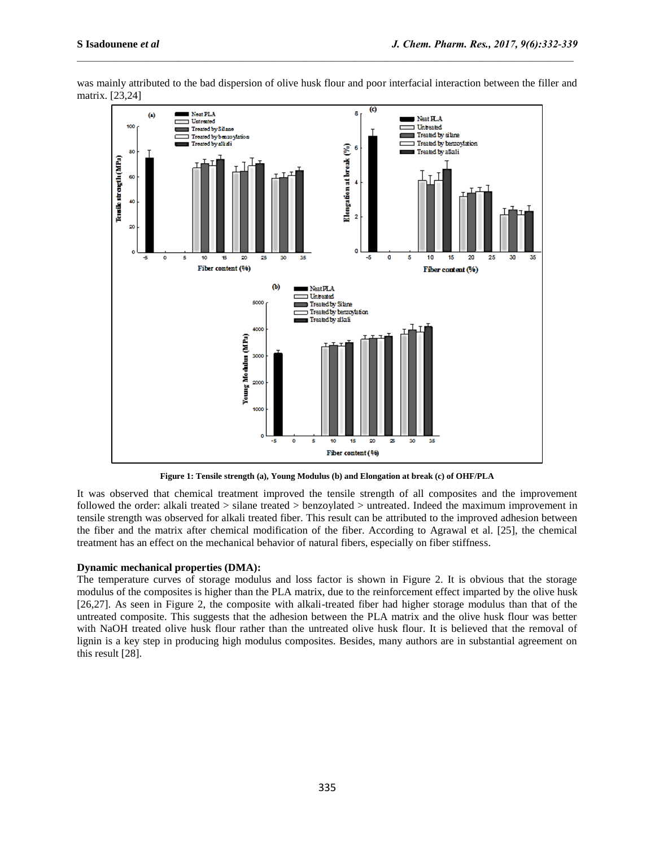

was mainly attributed to the bad dispersion of olive husk flour and poor interfacial interaction between the filler and matrix. [23,24]

**Figure 1: Tensile strength (a), Young Modulus (b) and Elongation at break (c) of OHF/PLA**

It was observed that chemical treatment improved the tensile strength of all composites and the improvement followed the order: alkali treated > silane treated > benzoylated > untreated. Indeed the maximum improvement in tensile strength was observed for alkali treated fiber. This result can be attributed to the improved adhesion between the fiber and the matrix after chemical modification of the fiber. According to Agrawal et al. [25], the chemical treatment has an effect on the mechanical behavior of natural fibers, especially on fiber stiffness.

# **Dynamic mechanical properties (DMA):**

The temperature curves of storage modulus and loss factor is shown in Figure 2. It is obvious that the storage modulus of the composites is higher than the PLA matrix, due to the reinforcement effect imparted by the olive husk [26,27]. As seen in Figure 2, the composite with alkali-treated fiber had higher storage modulus than that of the untreated composite. This suggests that the adhesion between the PLA matrix and the olive husk flour was better with NaOH treated olive husk flour rather than the untreated olive husk flour. It is believed that the removal of lignin is a key step in producing high modulus composites. Besides, many authors are in substantial agreement on this result [28].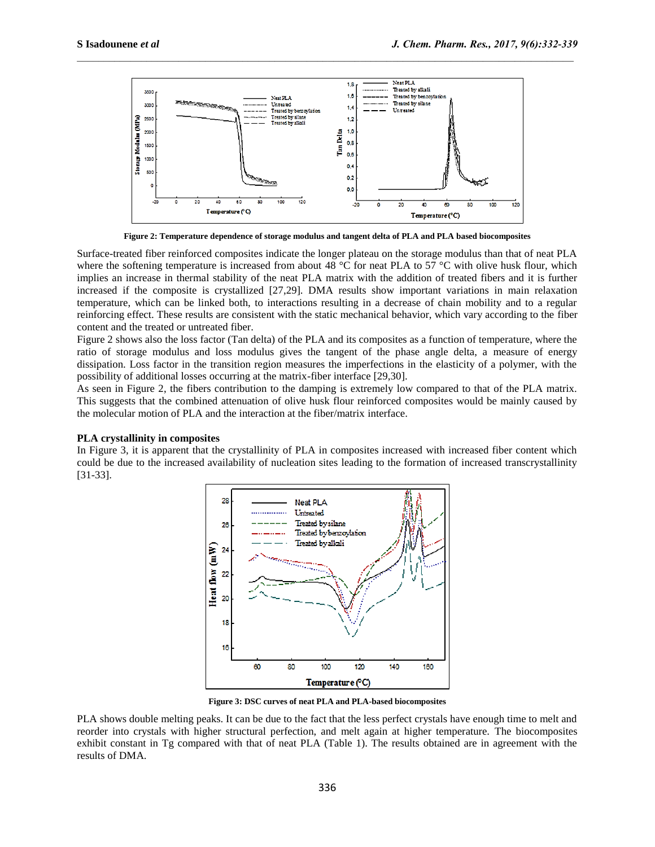

**Figure 2: Temperature dependence of storage modulus and tangent delta of PLA and PLA based biocomposites**

Surface-treated fiber reinforced composites indicate the longer plateau on the storage modulus than that of neat PLA where the softening temperature is increased from about 48 °C for neat PLA to 57 °C with olive husk flour, which implies an increase in thermal stability of the neat PLA matrix with the addition of treated fibers and it is further increased if the composite is crystallized [27,29]. DMA results show important variations in main relaxation temperature, which can be linked both, to interactions resulting in a decrease of chain mobility and to a regular reinforcing effect. These results are consistent with the static mechanical behavior, which vary according to the fiber content and the treated or untreated fiber.

Figure 2 shows also the loss factor (Tan delta) of the PLA and its composites as a function of temperature, where the ratio of storage modulus and loss modulus gives the tangent of the phase angle delta, a measure of energy dissipation. Loss factor in the transition region measures the imperfections in the elasticity of a polymer, with the possibility of additional losses occurring at the matrix-fiber interface [29,30].

As seen in Figure 2, the fibers contribution to the damping is extremely low compared to that of the PLA matrix. This suggests that the combined attenuation of olive husk flour reinforced composites would be mainly caused by the molecular motion of PLA and the interaction at the fiber/matrix interface.

#### **PLA crystallinity in composites**

In Figure 3, it is apparent that the crystallinity of PLA in composites increased with increased fiber content which could be due to the increased availability of nucleation sites leading to the formation of increased transcrystallinity [31-33].



**Figure 3: DSC curves of neat PLA and PLA-based biocomposites**

PLA shows double melting peaks. It can be due to the fact that the less perfect crystals have enough time to melt and reorder into crystals with higher structural perfection, and melt again at higher temperature. The biocomposites exhibit constant in Tg compared with that of neat PLA (Table 1). The results obtained are in agreement with the results of DMA.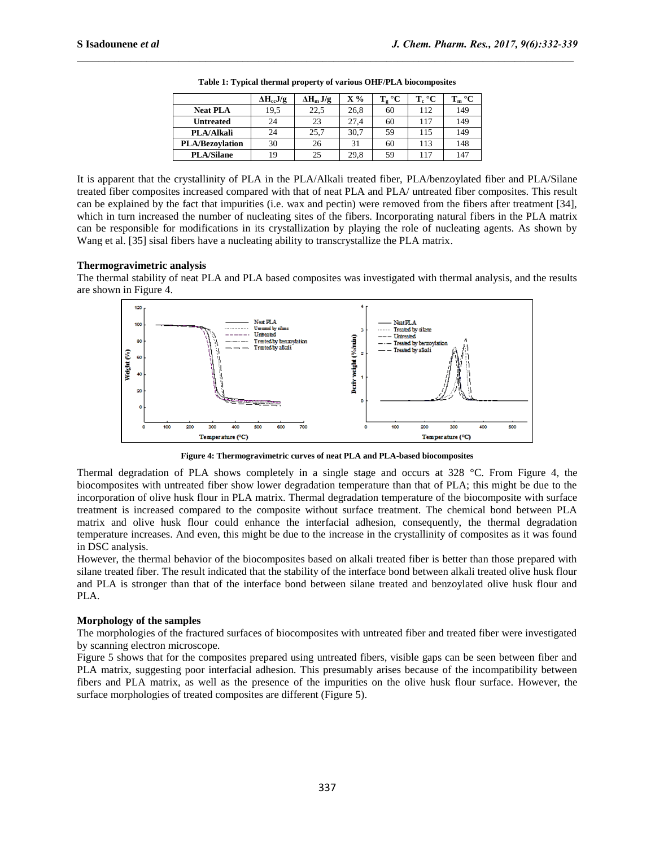|                        | $\Delta H_{cc}J/g$ | $\Delta H_m J/g$ | $X\%$ | $\rm ^{\circ}C$<br>т<br>ւջ | $T_c$ °C | $T_m$ °C |
|------------------------|--------------------|------------------|-------|----------------------------|----------|----------|
| <b>Neat PLA</b>        | 19,5               | 22,5             | 26.8  | 60                         | 112      | 149      |
| <b>Untreated</b>       | 24                 | 23               | 27.4  | 60                         | 117      | 149      |
| <b>PLA/Alkali</b>      | 24                 | 25,7             | 30.7  | 59                         | 115      | 149      |
| <b>PLA/Bezovlation</b> | 30                 | 26               | 31    | 60                         | 113      | 148      |
| <b>PLA/Silane</b>      | 19                 | 25               | 29,8  | 59                         | 117      | 147      |

**Table 1: Typical thermal property of various OHF/PLA biocomposites**

It is apparent that the crystallinity of PLA in the PLA/Alkali treated fiber, PLA/benzoylated fiber and PLA/Silane treated fiber composites increased compared with that of neat PLA and PLA/ untreated fiber composites. This result can be explained by the fact that impurities (i.e. wax and pectin) were removed from the fibers after treatment [34], which in turn increased the number of nucleating sites of the fibers. Incorporating natural fibers in the PLA matrix can be responsible for modifications in its crystallization by playing the role of nucleating agents. As shown by Wang et al. [35] sisal fibers have a nucleating ability to transcrystallize the PLA matrix.

#### **Thermogravimetric analysis**

The thermal stability of neat PLA and PLA based composites was investigated with thermal analysis, and the results are shown in Figure 4.



**Figure 4: Thermogravimetric curves of neat PLA and PLA-based biocomposites**

Thermal degradation of PLA shows completely in a single stage and occurs at 328 °C. From Figure 4, the biocomposites with untreated fiber show lower degradation temperature than that of PLA; this might be due to the incorporation of olive husk flour in PLA matrix. Thermal degradation temperature of the biocomposite with surface treatment is increased compared to the composite without surface treatment. The chemical bond between PLA matrix and olive husk flour could enhance the interfacial adhesion, consequently, the thermal degradation temperature increases. And even, this might be due to the increase in the crystallinity of composites as it was found in DSC analysis.

However, the thermal behavior of the biocomposites based on alkali treated fiber is better than those prepared with silane treated fiber. The result indicated that the stability of the interface bond between alkali treated olive husk flour and PLA is stronger than that of the interface bond between silane treated and benzoylated olive husk flour and PLA.

# **Morphology of the samples**

The morphologies of the fractured surfaces of biocomposites with untreated fiber and treated fiber were investigated by scanning electron microscope.

Figure 5 shows that for the composites prepared using untreated fibers, visible gaps can be seen between fiber and PLA matrix, suggesting poor interfacial adhesion. This presumably arises because of the incompatibility between fibers and PLA matrix, as well as the presence of the impurities on the olive husk flour surface. However, the surface morphologies of treated composites are different (Figure 5).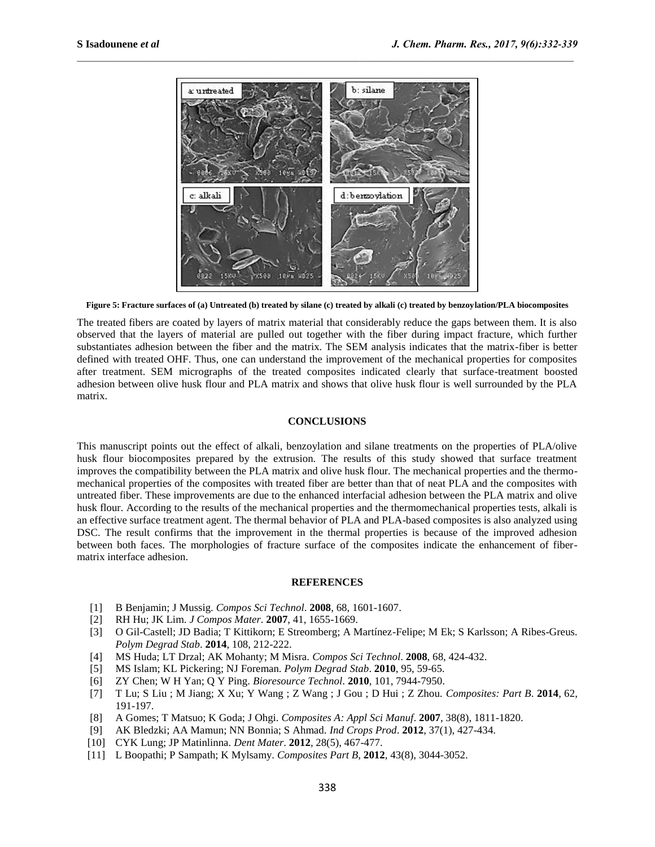

**Figure 5: Fracture surfaces of (a) Untreated (b) treated by silane (c) treated by alkali (c) treated by benzoylation/PLA biocomposites**

The treated fibers are coated by layers of matrix material that considerably reduce the gaps between them. It is also observed that the layers of material are pulled out together with the fiber during impact fracture, which further substantiates adhesion between the fiber and the matrix. The SEM analysis indicates that the matrix-fiber is better defined with treated OHF. Thus, one can understand the improvement of the mechanical properties for composites after treatment. SEM micrographs of the treated composites indicated clearly that surface-treatment boosted adhesion between olive husk flour and PLA matrix and shows that olive husk flour is well surrounded by the PLA matrix.

#### **CONCLUSIONS**

This manuscript points out the effect of alkali, benzoylation and silane treatments on the properties of PLA/olive husk flour biocomposites prepared by the extrusion. The results of this study showed that surface treatment improves the compatibility between the PLA matrix and olive husk flour. The mechanical properties and the thermomechanical properties of the composites with treated fiber are better than that of neat PLA and the composites with untreated fiber. These improvements are due to the enhanced interfacial adhesion between the PLA matrix and olive husk flour. According to the results of the mechanical properties and the thermomechanical properties tests, alkali is an effective surface treatment agent. The thermal behavior of PLA and PLA-based composites is also analyzed using DSC. The result confirms that the improvement in the thermal properties is because of the improved adhesion between both faces. The morphologies of fracture surface of the composites indicate the enhancement of fibermatrix interface adhesion.

#### **REFERENCES**

- [1] B Benjamin; J Mussig. *Compos Sci Technol*. **2008**, 68, 1601-1607.
- [2] RH Hu; JK Lim. *J Compos Mater*. **2007**, 41, 1655-1669.
- [3] O Gil-Castell; JD Badia; T Kittikorn; E Streomberg; A Martínez-Felipe; M Ek; S Karlsson; A Ribes-Greus. *Polym Degrad Stab*. **2014**, 108, 212-222.
- [4] MS Huda; LT Drzal; AK Mohanty; M Misra. *Compos Sci Technol*. **2008**, 68, 424-432.
- [5] MS Islam; KL Pickering; NJ Foreman. *Polym Degrad Stab*. **2010**, 95, 59-65.
- [6] ZY Chen; W H Yan; Q Y Ping. *Bioresource Technol*. **2010**, 101, 7944-7950.
- [7] T Lu; S Liu ; M Jiang; X Xu; Y Wang ; Z Wang ; J Gou ; D Hui ; Z Zhou. *Composites: Part B*. **2014**, 62, 191-197.
- [8] A Gomes; T Matsuo; K Goda; J Ohgi. *Composites A: Appl Sci Manuf*. **2007**, 38(8), 1811-1820.
- [9] AK Bledzki; AA Mamun; NN Bonnia; S Ahmad. *Ind Crops Prod*. **2012**, 37(1), 427-434.
- [10] CYK Lung; JP Matinlinna. *Dent Mater*. **2012**, 28(5), 467-477.
- [11] L Boopathi; P Sampath; K Mylsamy. *Composites Part B*, **2012**, 43(8), 3044-3052.